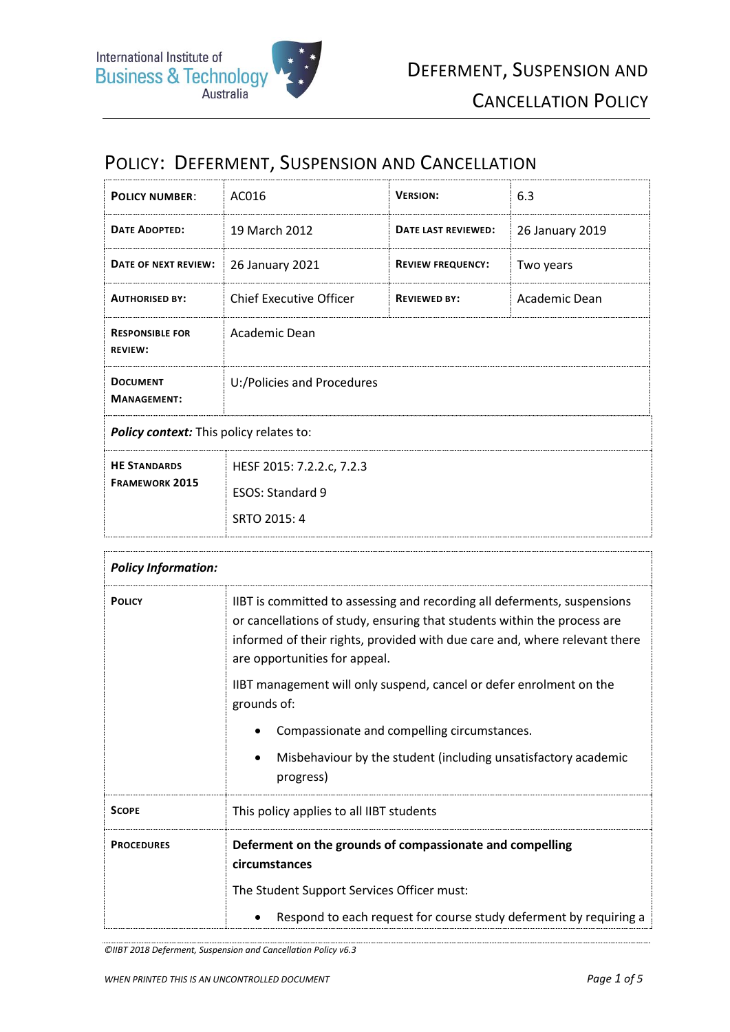# POLICY: DEFERMENT, SUSPENSION AND CANCELLATION

| <b>POLICY NUMBER:</b>                        | AC016                                                         | <b>VERSION:</b>          | 6.3             |
|----------------------------------------------|---------------------------------------------------------------|--------------------------|-----------------|
| <b>DATE ADOPTED:</b>                         | 19 March 2012                                                 | DATE LAST REVIEWED:      | 26 January 2019 |
| DATE OF NEXT REVIEW:                         | 26 January 2021                                               | <b>REVIEW FREQUENCY:</b> | Two years       |
| <b>AUTHORISED BY:</b>                        | <b>Chief Executive Officer</b>                                | <b>REVIEWED BY:</b>      | Academic Dean   |
| <b>RESPONSIBLE FOR</b><br><b>REVIEW:</b>     | Academic Dean                                                 |                          |                 |
| <b>DOCUMENT</b><br><b>MANAGEMENT:</b>        | U:/Policies and Procedures                                    |                          |                 |
| Policy context: This policy relates to:      |                                                               |                          |                 |
| <b>HE STANDARDS</b><br><b>FRAMEWORK 2015</b> | HESF 2015: 7.2.2.c, 7.2.3<br>ESOS: Standard 9<br>SRTO 2015: 4 |                          |                 |

| <b>Policy Information:</b> |                                                                                                                                                                                                                                                                     |  |
|----------------------------|---------------------------------------------------------------------------------------------------------------------------------------------------------------------------------------------------------------------------------------------------------------------|--|
| <b>POLICY</b>              | IIBT is committed to assessing and recording all deferments, suspensions<br>or cancellations of study, ensuring that students within the process are<br>informed of their rights, provided with due care and, where relevant there<br>are opportunities for appeal. |  |
|                            | IIBT management will only suspend, cancel or defer enrolment on the<br>grounds of:                                                                                                                                                                                  |  |
|                            | Compassionate and compelling circumstances.                                                                                                                                                                                                                         |  |
|                            | Misbehaviour by the student (including unsatisfactory academic<br>progress)                                                                                                                                                                                         |  |
| <b>SCOPE</b>               | This policy applies to all IIBT students                                                                                                                                                                                                                            |  |
| <b>PROCEDURES</b>          | Deferment on the grounds of compassionate and compelling<br>circumstances                                                                                                                                                                                           |  |
|                            | The Student Support Services Officer must:                                                                                                                                                                                                                          |  |
|                            | Respond to each request for course study deferment by requiring a                                                                                                                                                                                                   |  |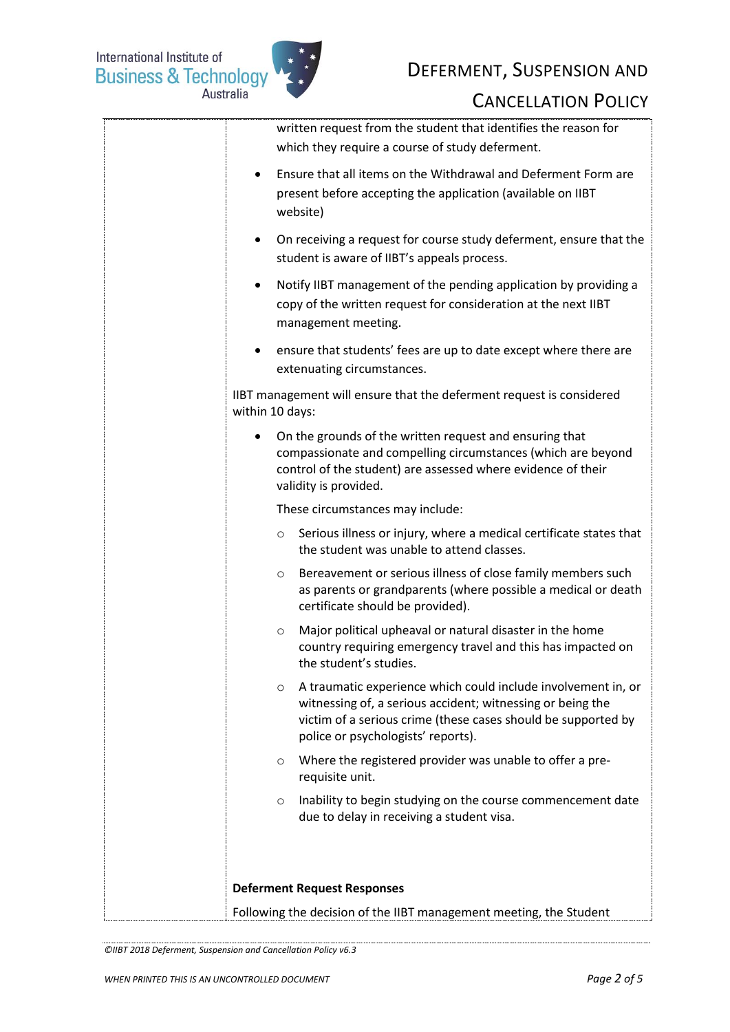International Institute of<br>Business & Technology



## DEFERMENT, SUSPENSION AND

#### CANCELLATION POLICY

| written request from the student that identifies the reason for<br>which they require a course of study deferment.                                                                                                                            |  |
|-----------------------------------------------------------------------------------------------------------------------------------------------------------------------------------------------------------------------------------------------|--|
| Ensure that all items on the Withdrawal and Deferment Form are<br>٠<br>present before accepting the application (available on IIBT<br>website)                                                                                                |  |
| On receiving a request for course study deferment, ensure that the<br>$\bullet$<br>student is aware of IIBT's appeals process.                                                                                                                |  |
| Notify IIBT management of the pending application by providing a<br>$\bullet$<br>copy of the written request for consideration at the next IIBT<br>management meeting.                                                                        |  |
| ensure that students' fees are up to date except where there are<br>extenuating circumstances.                                                                                                                                                |  |
| IIBT management will ensure that the deferment request is considered<br>within 10 days:                                                                                                                                                       |  |
| On the grounds of the written request and ensuring that<br>٠<br>compassionate and compelling circumstances (which are beyond<br>control of the student) are assessed where evidence of their<br>validity is provided.                         |  |
| These circumstances may include:                                                                                                                                                                                                              |  |
| Serious illness or injury, where a medical certificate states that<br>$\circ$<br>the student was unable to attend classes.                                                                                                                    |  |
| Bereavement or serious illness of close family members such<br>$\circ$<br>as parents or grandparents (where possible a medical or death<br>certificate should be provided).                                                                   |  |
| Major political upheaval or natural disaster in the home<br>$\circ$<br>country requiring emergency travel and this has impacted on<br>the student's studies.                                                                                  |  |
| A traumatic experience which could include involvement in, or<br>$\circ$<br>witnessing of, a serious accident; witnessing or being the<br>victim of a serious crime (these cases should be supported by<br>police or psychologists' reports). |  |
| Where the registered provider was unable to offer a pre-<br>$\circ$<br>requisite unit.                                                                                                                                                        |  |
| Inability to begin studying on the course commencement date<br>$\circ$<br>due to delay in receiving a student visa.                                                                                                                           |  |
|                                                                                                                                                                                                                                               |  |
| <b>Deferment Request Responses</b>                                                                                                                                                                                                            |  |
| Following the decision of the IIBT management meeting, the Student                                                                                                                                                                            |  |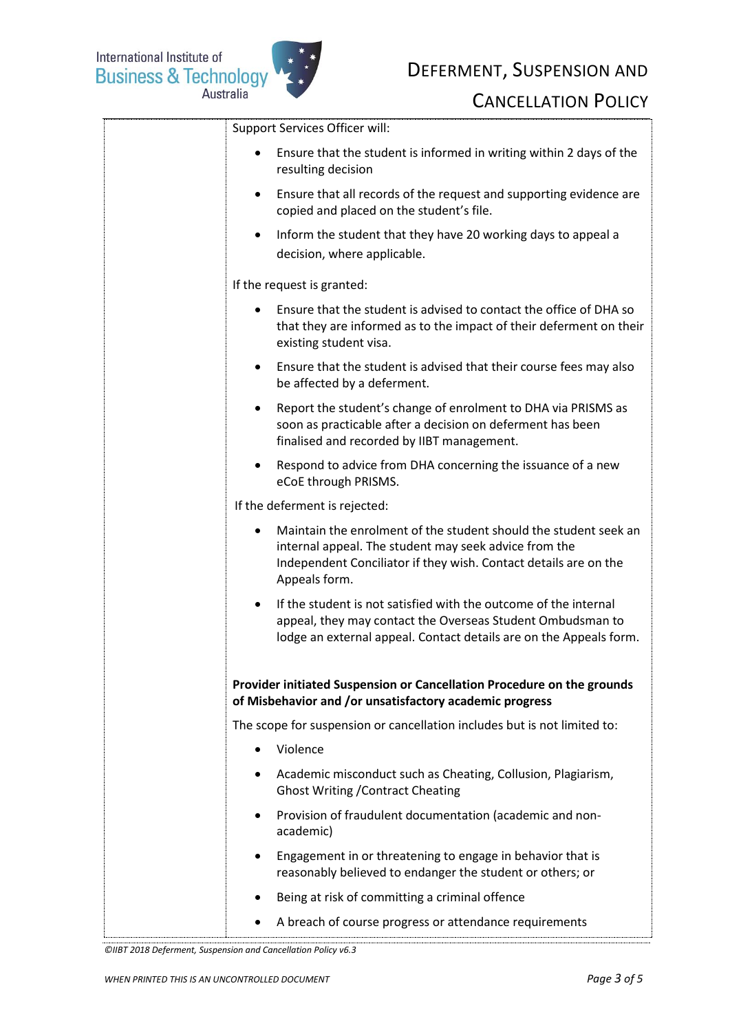

## DEFERMENT, SUSPENSION AND

### CANCELLATION POLICY

| Support Services Officer will:                                                                                                                                                                                    |
|-------------------------------------------------------------------------------------------------------------------------------------------------------------------------------------------------------------------|
| Ensure that the student is informed in writing within 2 days of the<br>$\bullet$<br>resulting decision                                                                                                            |
| Ensure that all records of the request and supporting evidence are<br>$\bullet$<br>copied and placed on the student's file.                                                                                       |
| Inform the student that they have 20 working days to appeal a<br>$\bullet$<br>decision, where applicable.                                                                                                         |
| If the request is granted:                                                                                                                                                                                        |
| Ensure that the student is advised to contact the office of DHA so<br>that they are informed as to the impact of their deferment on their<br>existing student visa.                                               |
| Ensure that the student is advised that their course fees may also<br>$\bullet$<br>be affected by a deferment.                                                                                                    |
| Report the student's change of enrolment to DHA via PRISMS as<br>$\bullet$<br>soon as practicable after a decision on deferment has been<br>finalised and recorded by IIBT management.                            |
| Respond to advice from DHA concerning the issuance of a new<br>$\bullet$<br>eCoE through PRISMS.                                                                                                                  |
| If the deferment is rejected:                                                                                                                                                                                     |
| Maintain the enrolment of the student should the student seek an<br>internal appeal. The student may seek advice from the<br>Independent Conciliator if they wish. Contact details are on the<br>Appeals form.    |
| If the student is not satisfied with the outcome of the internal<br>$\bullet$<br>appeal, they may contact the Overseas Student Ombudsman to<br>lodge an external appeal. Contact details are on the Appeals form. |
| Provider initiated Suspension or Cancellation Procedure on the grounds<br>of Misbehavior and /or unsatisfactory academic progress                                                                                 |
| The scope for suspension or cancellation includes but is not limited to:                                                                                                                                          |
| Violence<br>$\bullet$                                                                                                                                                                                             |
| Academic misconduct such as Cheating, Collusion, Plagiarism,<br>$\bullet$<br><b>Ghost Writing / Contract Cheating</b>                                                                                             |
| Provision of fraudulent documentation (academic and non-<br>academic)                                                                                                                                             |
| Engagement in or threatening to engage in behavior that is<br>reasonably believed to endanger the student or others; or                                                                                           |
| Being at risk of committing a criminal offence                                                                                                                                                                    |
| A breach of course progress or attendance requirements                                                                                                                                                            |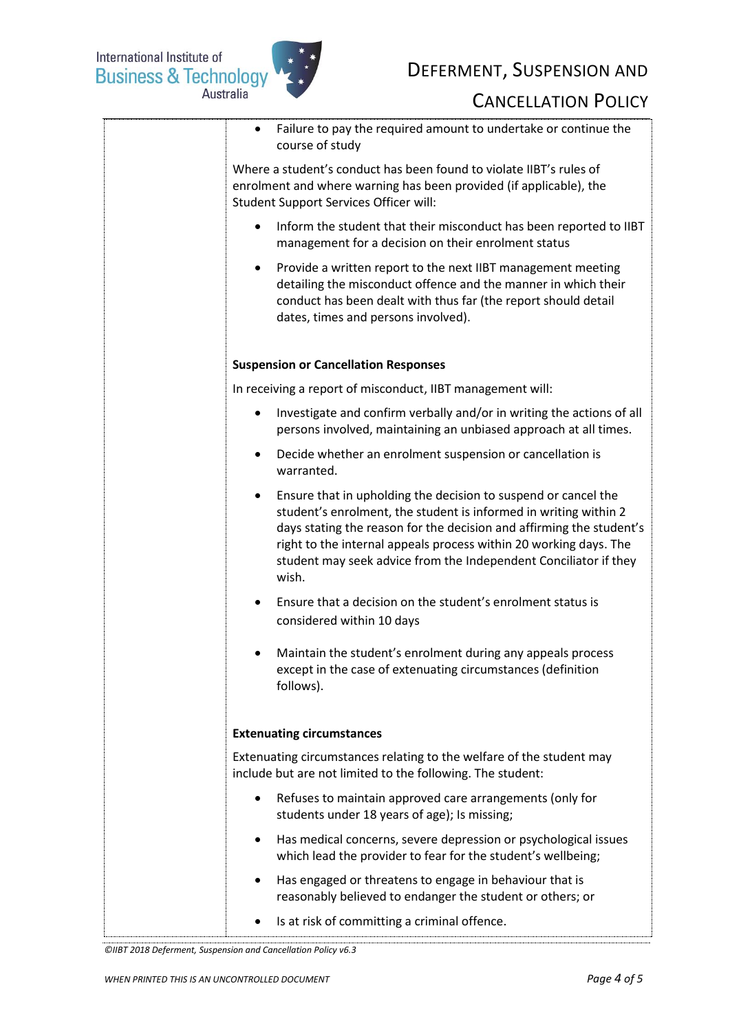

## DEFERMENT, SUSPENSION AND

## CANCELLATION POLICY

| Failure to pay the required amount to undertake or continue the<br>$\bullet$<br>course of study                                                                                                                                                                                                                                                                           |
|---------------------------------------------------------------------------------------------------------------------------------------------------------------------------------------------------------------------------------------------------------------------------------------------------------------------------------------------------------------------------|
| Where a student's conduct has been found to violate IIBT's rules of<br>enrolment and where warning has been provided (if applicable), the<br>Student Support Services Officer will:                                                                                                                                                                                       |
| Inform the student that their misconduct has been reported to IIBT<br>management for a decision on their enrolment status                                                                                                                                                                                                                                                 |
| Provide a written report to the next IIBT management meeting<br>٠<br>detailing the misconduct offence and the manner in which their<br>conduct has been dealt with thus far (the report should detail<br>dates, times and persons involved).                                                                                                                              |
| <b>Suspension or Cancellation Responses</b>                                                                                                                                                                                                                                                                                                                               |
| In receiving a report of misconduct, IIBT management will:                                                                                                                                                                                                                                                                                                                |
| Investigate and confirm verbally and/or in writing the actions of all<br>persons involved, maintaining an unbiased approach at all times.                                                                                                                                                                                                                                 |
| Decide whether an enrolment suspension or cancellation is<br>warranted.                                                                                                                                                                                                                                                                                                   |
| Ensure that in upholding the decision to suspend or cancel the<br>$\bullet$<br>student's enrolment, the student is informed in writing within 2<br>days stating the reason for the decision and affirming the student's<br>right to the internal appeals process within 20 working days. The<br>student may seek advice from the Independent Conciliator if they<br>wish. |
| Ensure that a decision on the student's enrolment status is<br>considered within 10 days                                                                                                                                                                                                                                                                                  |
| Maintain the student's enrolment during any appeals process<br>except in the case of extenuating circumstances (definition<br>follows).                                                                                                                                                                                                                                   |
| <b>Extenuating circumstances</b>                                                                                                                                                                                                                                                                                                                                          |
| Extenuating circumstances relating to the welfare of the student may<br>include but are not limited to the following. The student:                                                                                                                                                                                                                                        |
| Refuses to maintain approved care arrangements (only for<br>$\bullet$<br>students under 18 years of age); Is missing;                                                                                                                                                                                                                                                     |
| Has medical concerns, severe depression or psychological issues<br>٠<br>which lead the provider to fear for the student's wellbeing;                                                                                                                                                                                                                                      |
| Has engaged or threatens to engage in behaviour that is<br>reasonably believed to endanger the student or others; or                                                                                                                                                                                                                                                      |
| Is at risk of committing a criminal offence.                                                                                                                                                                                                                                                                                                                              |